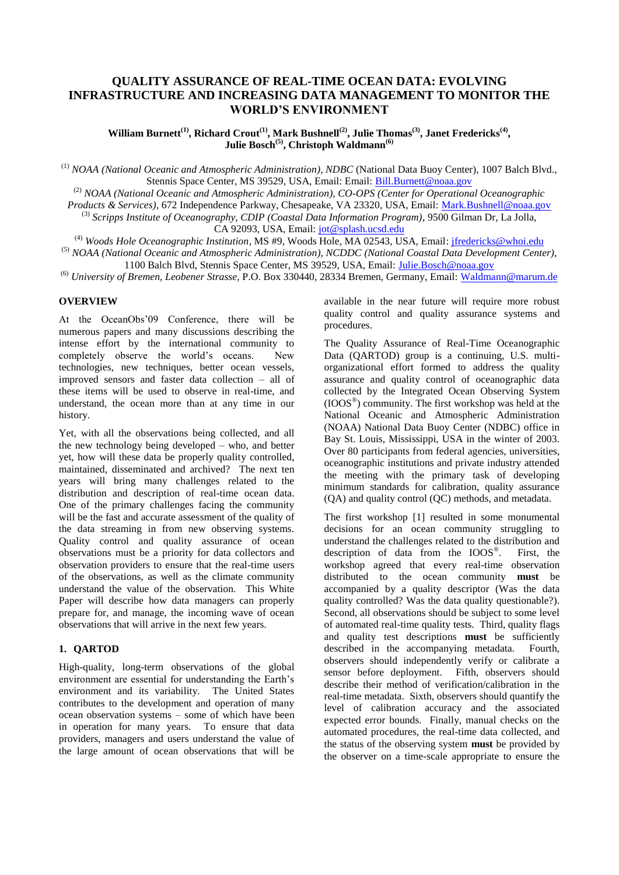# **QUALITY ASSURANCE OF REAL-TIME OCEAN DATA: EVOLVING INFRASTRUCTURE AND INCREASING DATA MANAGEMENT TO MONITOR THE WORLD'S ENVIRONMENT**

**William Burnett(1), Richard Crout(1), Mark Bushnell(2), Julie Thomas(3), Janet Fredericks(4) , Julie Bosch(5), Christoph Waldmann(6)**

(1) *NOAA (National Oceanic and Atmospheric Administration), NDBC* (National Data Buoy Center), 1007 Balch Blvd., Stennis Space Center, MS 39529, USA, Email: Email: [Bill.Burnett@noaa.gov](mailto:Bill.Burnett@noaa.gov)

(2) *NOAA (National Oceanic and Atmospheric Administration), CO-OPS (Center for Operational Oceanographic* 

*Products & Services)*, 672 Independence Parkway, Chesapeake, VA 23320, USA, Email: [Mark.Bushnell@noaa.gov](mailto:Mark.Bushnell@noaa.gov)

(3) *Scripps Institute of Oceanography, CDIP (Coastal Data Information Program)*, 9500 Gilman Dr, La Jolla, CA 92093, USA, Email: [jot@splash.ucsd.edu](mailto:Mark.Bushnell@noaa.gov)

(4) *Woods Hole Oceanographic Institution*, MS #9, Woods Hole, MA 02543, USA, Email: [jfredericks@whoi.edu](mailto:jfredricks@whoi.edu) (5) *NOAA (National Oceanic and Atmospheric Administration), NCDDC (National Coastal Data Development Center)*, 1100 Balch Blvd, Stennis Space Center, MS 39529, USA, Email: [Julie.Bosch@noaa.gov](mailto:Julie.Boshch@noaa.gov)

(6) *University of Bremen, Leobener Strasse*, P.O. Box 330440, 28334 Bremen, Germany, Email: [Waldmann@marum.de](mailto:Waldmann@marum.de)

#### **OVERVIEW**

At the OceanObs'09 Conference, there will be numerous papers and many discussions describing the intense effort by the international community to completely observe the world's oceans. New technologies, new techniques, better ocean vessels, improved sensors and faster data collection – all of these items will be used to observe in real-time, and understand, the ocean more than at any time in our history.

Yet, with all the observations being collected, and all the new technology being developed – who, and better yet, how will these data be properly quality controlled, maintained, disseminated and archived? The next ten years will bring many challenges related to the distribution and description of real-time ocean data. One of the primary challenges facing the community will be the fast and accurate assessment of the quality of the data streaming in from new observing systems. Quality control and quality assurance of ocean observations must be a priority for data collectors and observation providers to ensure that the real-time users of the observations, as well as the climate community understand the value of the observation. This White Paper will describe how data managers can properly prepare for, and manage, the incoming wave of ocean observations that will arrive in the next few years.

#### **1. QARTOD**

High-quality, long-term observations of the global environment are essential for understanding the Earth's environment and its variability. The United States contributes to the development and operation of many ocean observation systems – some of which have been in operation for many years. To ensure that data providers, managers and users understand the value of the large amount of ocean observations that will be

available in the near future will require more robust quality control and quality assurance systems and procedures.

The Quality Assurance of Real-Time Oceanographic Data (QARTOD) group is a continuing, U.S. multiorganizational effort formed to address the quality assurance and quality control of oceanographic data collected by the Integrated Ocean Observing System (IOOS® ) community. The first workshop was held at the National Oceanic and Atmospheric Administration (NOAA) National Data Buoy Center (NDBC) office in Bay St. Louis, Mississippi, USA in the winter of 2003. Over 80 participants from federal agencies, universities, oceanographic institutions and private industry attended the meeting with the primary task of developing minimum standards for calibration, quality assurance (QA) and quality control (QC) methods, and metadata.

The first workshop [1] resulted in some monumental decisions for an ocean community struggling to understand the challenges related to the distribution and description of data from the IOOS® . First, the workshop agreed that every real-time observation distributed to the ocean community **must** be accompanied by a quality descriptor (Was the data quality controlled? Was the data quality questionable?). Second, all observations should be subject to some level of automated real-time quality tests. Third, quality flags and quality test descriptions **must** be sufficiently described in the accompanying metadata. Fourth, observers should independently verify or calibrate a sensor before deployment. Fifth, observers should describe their method of verification/calibration in the real-time metadata. Sixth, observers should quantify the level of calibration accuracy and the associated expected error bounds. Finally, manual checks on the automated procedures, the real-time data collected, and the status of the observing system **must** be provided by the observer on a time-scale appropriate to ensure the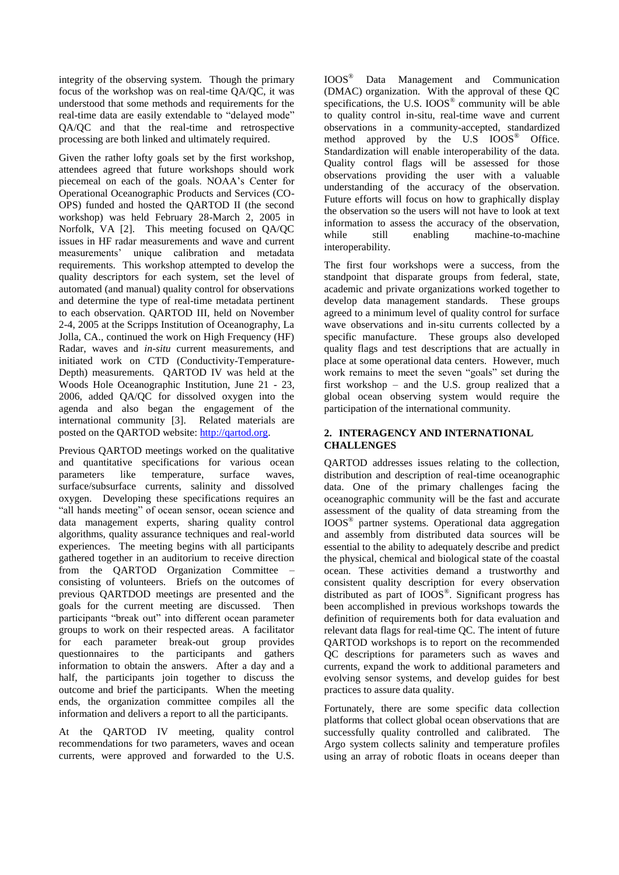integrity of the observing system. Though the primary focus of the workshop was on real-time QA/QC, it was understood that some methods and requirements for the real-time data are easily extendable to "delayed mode" QA/QC and that the real-time and retrospective processing are both linked and ultimately required.

Given the rather lofty goals set by the first workshop, attendees agreed that future workshops should work piecemeal on each of the goals. NOAA's Center for Operational Oceanographic Products and Services (CO-OPS) funded and hosted the QARTOD II (the second workshop) was held February 28-March 2, 2005 in Norfolk, VA [2]. This meeting focused on QA/QC issues in HF radar measurements and wave and current measurements' unique calibration and metadata requirements. This workshop attempted to develop the quality descriptors for each system, set the level of automated (and manual) quality control for observations and determine the type of real-time metadata pertinent to each observation. QARTOD III, held on November 2-4, 2005 at the Scripps Institution of Oceanography, La Jolla, CA., continued the work on High Frequency (HF) Radar, waves and *in-situ* current measurements, and initiated work on CTD (Conductivity-Temperature-Depth) measurements. QARTOD IV was held at the Woods Hole Oceanographic Institution, June 21 - 23, 2006, added QA/QC for dissolved oxygen into the agenda and also began the engagement of the international community [3]. Related materials are posted on the QARTOD website: [http://qartod.org.](http://qartod.org/)

Previous QARTOD meetings worked on the qualitative and quantitative specifications for various ocean<br>parameters like temperature, surface waves. like temperature, surface waves, surface/subsurface currents, salinity and dissolved oxygen. Developing these specifications requires an "all hands meeting" of ocean sensor, ocean science and data management experts, sharing quality control algorithms, quality assurance techniques and real-world experiences. The meeting begins with all participants gathered together in an auditorium to receive direction from the QARTOD Organization Committee – consisting of volunteers. Briefs on the outcomes of previous QARTDOD meetings are presented and the goals for the current meeting are discussed. Then participants "break out" into different ocean parameter groups to work on their respected areas. A facilitator for each parameter break-out group provides questionnaires to the participants and gathers information to obtain the answers. After a day and a half, the participants join together to discuss the outcome and brief the participants. When the meeting ends, the organization committee compiles all the information and delivers a report to all the participants.

At the QARTOD IV meeting, quality control recommendations for two parameters, waves and ocean currents, were approved and forwarded to the U.S. IOOS® Data Management and Communication (DMAC) organization. With the approval of these QC specifications, the U.S.  $IOOS^{\otimes}$  community will be able to quality control in-situ, real-time wave and current observations in a community-accepted, standardized method approved by the U.S IOOS® Office. Standardization will enable interoperability of the data. Quality control flags will be assessed for those observations providing the user with a valuable understanding of the accuracy of the observation. Future efforts will focus on how to graphically display the observation so the users will not have to look at text information to assess the accuracy of the observation,<br>while still enabling machine-to-machine machine-to-machine interoperability.

The first four workshops were a success, from the standpoint that disparate groups from federal, state, academic and private organizations worked together to develop data management standards. These groups agreed to a minimum level of quality control for surface wave observations and in-situ currents collected by a specific manufacture. These groups also developed quality flags and test descriptions that are actually in place at some operational data centers. However, much work remains to meet the seven "goals" set during the first workshop – and the U.S. group realized that a global ocean observing system would require the participation of the international community.

## **2. INTERAGENCY AND INTERNATIONAL CHALLENGES**

QARTOD addresses issues relating to the collection, distribution and description of real-time oceanographic data. One of the primary challenges facing the oceanographic community will be the fast and accurate assessment of the quality of data streaming from the IOOS® partner systems. Operational data aggregation and assembly from distributed data sources will be essential to the ability to adequately describe and predict the physical, chemical and biological state of the coastal ocean. These activities demand a trustworthy and consistent quality description for every observation distributed as part of IOOS® . Significant progress has been accomplished in previous workshops towards the definition of requirements both for data evaluation and relevant data flags for real-time QC. The intent of future QARTOD workshops is to report on the recommended QC descriptions for parameters such as waves and currents, expand the work to additional parameters and evolving sensor systems, and develop guides for best practices to assure data quality.

Fortunately, there are some specific data collection platforms that collect global ocean observations that are successfully quality controlled and calibrated. The Argo system collects salinity and temperature profiles using an array of robotic floats in oceans deeper than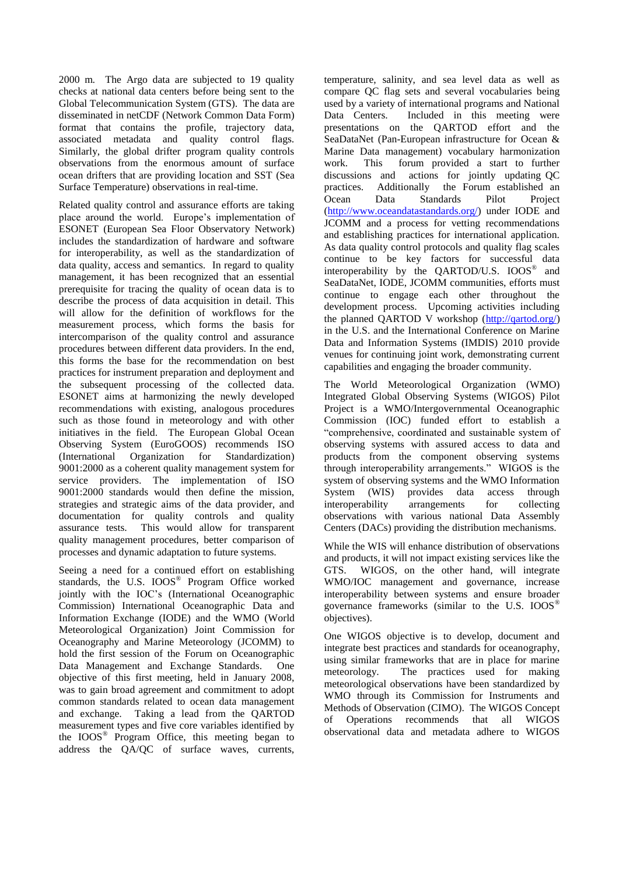2000 m. The Argo data are subjected to 19 quality checks at national data centers before being sent to the Global Telecommunication System (GTS). The data are disseminated in netCDF (Network Common Data Form) format that contains the profile, trajectory data, associated metadata and quality control flags. Similarly, the global drifter program quality controls observations from the enormous amount of surface ocean drifters that are providing location and SST (Sea Surface Temperature) observations in real-time.

Related quality control and assurance efforts are taking place around the world. Europe's implementation of ESONET (European Sea Floor Observatory Network) includes the standardization of hardware and software for interoperability, as well as the standardization of data quality, access and semantics. In regard to quality management, it has been recognized that an essential prerequisite for tracing the quality of ocean data is to describe the process of data acquisition in detail. This will allow for the definition of workflows for the measurement process, which forms the basis for intercomparison of the quality control and assurance procedures between different data providers. In the end, this forms the base for the recommendation on best practices for instrument preparation and deployment and the subsequent processing of the collected data. ESONET aims at harmonizing the newly developed recommendations with existing, analogous procedures such as those found in meteorology and with other initiatives in the field. The European Global Ocean Observing System (EuroGOOS) recommends ISO (International Organization for Standardization) 9001:2000 as a coherent quality management system for service providers. The implementation of ISO 9001:2000 standards would then define the mission, strategies and strategic aims of the data provider, and documentation for quality controls and quality assurance tests. This would allow for transparent quality management procedures, better comparison of processes and dynamic adaptation to future systems.

Seeing a need for a continued effort on establishing standards, the U.S. IOOS® Program Office worked jointly with the IOC's (International Oceanographic Commission) International Oceanographic Data and Information Exchange (IODE) and the WMO (World Meteorological Organization) Joint Commission for Oceanography and Marine Meteorology (JCOMM) to hold the first session of the Forum on Oceanographic Data Management and Exchange Standards. One objective of this first meeting, held in January 2008, was to gain broad agreement and commitment to adopt common standards related to ocean data management and exchange. Taking a lead from the QARTOD measurement types and five core variables identified by the IOOS® Program Office, this meeting began to address the QA/QC of surface waves, currents, temperature, salinity, and sea level data as well as compare QC flag sets and several vocabularies being used by a variety of international programs and National Data Centers. Included in this meeting were presentations on the QARTOD effort and the SeaDataNet (Pan-European infrastructure for Ocean & Marine Data management) vocabulary harmonization work. This forum provided a start to further discussions and actions for jointly updating QC practices. Additionally the Forum established an<br>Ocean Data Standards Pilot Project Ocean Data Standards [\(http://www.oceandatastandards.org/\)](http://www.oceandatastandards.org/) under IODE and JCOMM and a process for vetting recommendations and establishing practices for international application. As data quality control protocols and quality flag scales continue to be key factors for successful data interoperability by the QARTOD/U.S. IOOS<sup>®</sup> and SeaDataNet, IODE, JCOMM communities, efforts must continue to engage each other throughout the development process. Upcoming activities including the planned QARTOD V workshop [\(http://qartod.org/\)](http://qartod.org/) in the U.S. and the International Conference on Marine Data and Information Systems (IMDIS) 2010 provide venues for continuing joint work, demonstrating current capabilities and engaging the broader community.

The World Meteorological Organization (WMO) Integrated Global Observing Systems (WIGOS) Pilot Project is a WMO/Intergovernmental Oceanographic Commission (IOC) funded effort to establish a "comprehensive, coordinated and sustainable system of observing systems with assured access to data and products from the component observing systems through interoperability arrangements." WIGOS is the system of observing systems and the WMO Information System (WIS) provides data access through interoperability arrangements for collecting observations with various national Data Assembly Centers (DACs) providing the distribution mechanisms.

While the WIS will enhance distribution of observations and products, it will not impact existing services like the GTS. WIGOS, on the other hand, will integrate WMO/IOC management and governance, increase interoperability between systems and ensure broader governance frameworks (similar to the U.S. IOOS® objectives).

One WIGOS objective is to develop, document and integrate best practices and standards for oceanography, using similar frameworks that are in place for marine meteorology. The practices used for making meteorological observations have been standardized by WMO through its Commission for Instruments and Methods of Observation (CIMO). The WIGOS Concept of Operations recommends that all WIGOS observational data and metadata adhere to WIGOS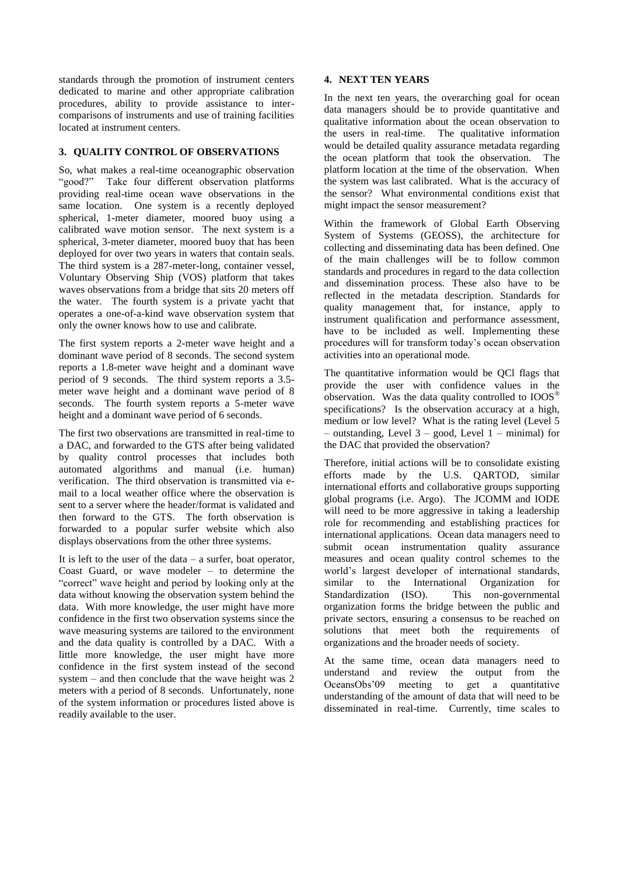standards through the promotion of instrument centers dedicated to marine and other appropriate calibration procedures, ability to provide assistance to intercomparisons of instruments and use of training facilities located at instrument centers.

## **3. QUALITY CONTROL OF OBSERVATIONS**

So, what makes a real-time oceanographic observation<br>"good?" Take four different observation platforms Take four different observation platforms providing real-time ocean wave observations in the same location. One system is a recently deployed spherical, 1-meter diameter, moored buoy using a calibrated wave motion sensor. The next system is a spherical, 3-meter diameter, moored buoy that has been deployed for over two years in waters that contain seals. The third system is a 287-meter-long, container vessel, Voluntary Observing Ship (VOS) platform that takes waves observations from a bridge that sits 20 meters off the water. The fourth system is a private yacht that operates a one-of-a-kind wave observation system that only the owner knows how to use and calibrate.

The first system reports a 2-meter wave height and a dominant wave period of 8 seconds. The second system reports a 1.8-meter wave height and a dominant wave period of 9 seconds. The third system reports a 3.5 meter wave height and a dominant wave period of 8 seconds. The fourth system reports a 5-meter wave height and a dominant wave period of 6 seconds.

The first two observations are transmitted in real-time to a DAC, and forwarded to the GTS after being validated by quality control processes that includes both automated algorithms and manual (i.e. human) verification. The third observation is transmitted via email to a local weather office where the observation is sent to a server where the header/format is validated and then forward to the GTS. The forth observation is forwarded to a popular surfer website which also displays observations from the other three systems.

It is left to the user of the data  $-$  a surfer, boat operator, Coast Guard, or wave modeler – to determine the "correct" wave height and period by looking only at the data without knowing the observation system behind the data. With more knowledge, the user might have more confidence in the first two observation systems since the wave measuring systems are tailored to the environment and the data quality is controlled by a DAC. With a little more knowledge, the user might have more confidence in the first system instead of the second system – and then conclude that the wave height was 2 meters with a period of 8 seconds. Unfortunately, none of the system information or procedures listed above is readily available to the user.

## **4. NEXT TEN YEARS**

In the next ten years, the overarching goal for ocean data managers should be to provide quantitative and qualitative information about the ocean observation to the users in real-time. The qualitative information would be detailed quality assurance metadata regarding the ocean platform that took the observation. The platform location at the time of the observation. When the system was last calibrated. What is the accuracy of the sensor? What environmental conditions exist that might impact the sensor measurement?

Within the framework of Global Earth Observing System of Systems (GEOSS), the architecture for collecting and disseminating data has been defined. One of the main challenges will be to follow common standards and procedures in regard to the data collection and dissemination process. These also have to be reflected in the metadata description. Standards for quality management that, for instance, apply to instrument qualification and performance assessment, have to be included as well. Implementing these procedures will for transform today's ocean observation activities into an operational mode.

The quantitative information would be QCl flags that provide the user with confidence values in the observation. Was the data quality controlled to  $IOOS<sup>6</sup>$ specifications? Is the observation accuracy at a high, medium or low level? What is the rating level (Level 5 – outstanding, Level 3 – good, Level 1 – minimal) for the DAC that provided the observation?

Therefore, initial actions will be to consolidate existing efforts made by the U.S. QARTOD, similar international efforts and collaborative groups supporting global programs (i.e. Argo). The JCOMM and IODE will need to be more aggressive in taking a leadership role for recommending and establishing practices for international applications. Ocean data managers need to submit ocean instrumentation quality assurance measures and ocean quality control schemes to the world's largest developer of international standards, similar to the International Organization for<br>Standardization (ISO). This non-governmental This non-governmental organization forms the bridge between the public and private sectors, ensuring a consensus to be reached on solutions that meet both the requirements of organizations and the broader needs of society.

At the same time, ocean data managers need to understand and review the output from the OceansObs'09 meeting to get a quantitative understanding of the amount of data that will need to be disseminated in real-time. Currently, time scales to